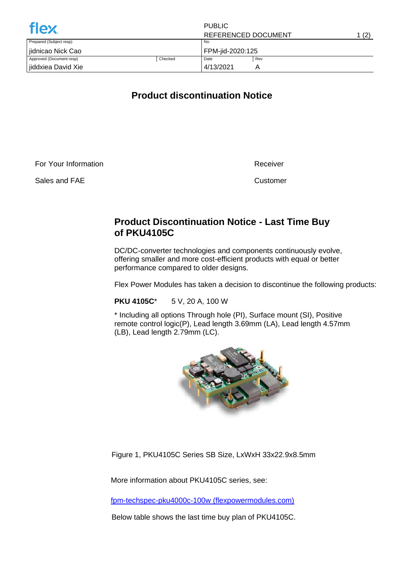| <b>flex</b>              |         | <b>PUBLIC</b>       |     |       |
|--------------------------|---------|---------------------|-----|-------|
|                          |         | REFERENCED DOCUMENT |     | 1 (2) |
| Prepared (Subject resp)  |         | No.                 |     |       |
| iidnicao Nick Cao        |         | FPM-jid-2020:125    |     |       |
| Approved (Document resp) | Checked | Date                | Rev |       |
| jiddxiea David Xie       |         | 4/13/2021           |     |       |

## **Product discontinuation Notice**

For Your Information

Sales and FAE

Receiver

Customer

## **Product Discontinuation Notice - Last Time Buy of PKU4105C**

DC/DC-converter technologies and components continuously evolve, offering smaller and more cost-efficient products with equal or better performance compared to older designs.

Flex Power Modules has taken a decision to discontinue the following products:

**PKU 4105C**\* 5 V, 20 A, 100 W

\* Including all options Through hole (PI), Surface mount (SI), Positive remote control logic(P), Lead length 3.69mm (LA), Lead length 4.57mm (LB), Lead length 2.79mm (LC).



Figure 1, PKU4105C Series SB Size, LxWxH 33x22.9x8.5mm

More information about PKU4105C series, see:

[fpm-techspec-pku4000c-100w \(flexpowermodules.com\)](https://flexpowermodules.com/resources/fpm-techspec-pku4000c-100w)

Below table shows the last time buy plan of PKU4105C.